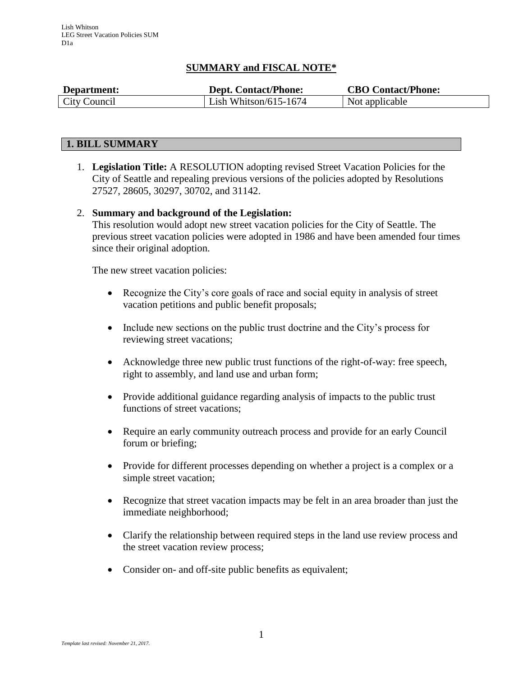# **SUMMARY and FISCAL NOTE\***

| Department:  | <b>Dept. Contact/Phone:</b> | <b>CBO Contact/Phone:</b> |
|--------------|-----------------------------|---------------------------|
| City Council | Lish Whitson/615-1674       | Not applicable            |

# **1. BILL SUMMARY**

1. **Legislation Title:** A RESOLUTION adopting revised Street Vacation Policies for the City of Seattle and repealing previous versions of the policies adopted by Resolutions 27527, 28605, 30297, 30702, and 31142.

### 2. **Summary and background of the Legislation:**

This resolution would adopt new street vacation policies for the City of Seattle. The previous street vacation policies were adopted in 1986 and have been amended four times since their original adoption.

The new street vacation policies:

- Recognize the City's core goals of race and social equity in analysis of street vacation petitions and public benefit proposals;
- Include new sections on the public trust doctrine and the City's process for reviewing street vacations;
- Acknowledge three new public trust functions of the right-of-way: free speech, right to assembly, and land use and urban form;
- Provide additional guidance regarding analysis of impacts to the public trust functions of street vacations;
- Require an early community outreach process and provide for an early Council forum or briefing;
- Provide for different processes depending on whether a project is a complex or a simple street vacation;
- Recognize that street vacation impacts may be felt in an area broader than just the immediate neighborhood;
- Clarify the relationship between required steps in the land use review process and the street vacation review process;
- Consider on- and off-site public benefits as equivalent;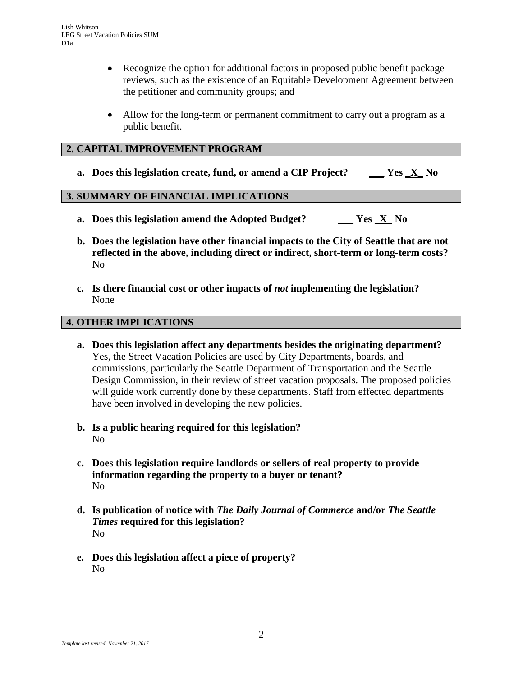- Recognize the option for additional factors in proposed public benefit package reviews, such as the existence of an Equitable Development Agreement between the petitioner and community groups; and
- Allow for the long-term or permanent commitment to carry out a program as a public benefit.

## **2. CAPITAL IMPROVEMENT PROGRAM**

**a. Does this legislation create, fund, or amend a CIP Project? \_\_\_ Yes \_X\_ No** 

## **3. SUMMARY OF FINANCIAL IMPLICATIONS**

- **a. Does this legislation amend the Adopted Budget? \_\_\_ Yes \_X\_ No**
- **b. Does the legislation have other financial impacts to the City of Seattle that are not reflected in the above, including direct or indirect, short-term or long-term costs?** No
- **c. Is there financial cost or other impacts of** *not* **implementing the legislation?** None

### **4. OTHER IMPLICATIONS**

- **a. Does this legislation affect any departments besides the originating department?** Yes, the Street Vacation Policies are used by City Departments, boards, and commissions, particularly the Seattle Department of Transportation and the Seattle Design Commission, in their review of street vacation proposals. The proposed policies will guide work currently done by these departments. Staff from effected departments have been involved in developing the new policies.
- **b. Is a public hearing required for this legislation?** No
- **c. Does this legislation require landlords or sellers of real property to provide information regarding the property to a buyer or tenant?** No
- **d. Is publication of notice with** *The Daily Journal of Commerce* **and/or** *The Seattle Times* **required for this legislation?** No
- **e. Does this legislation affect a piece of property?** No